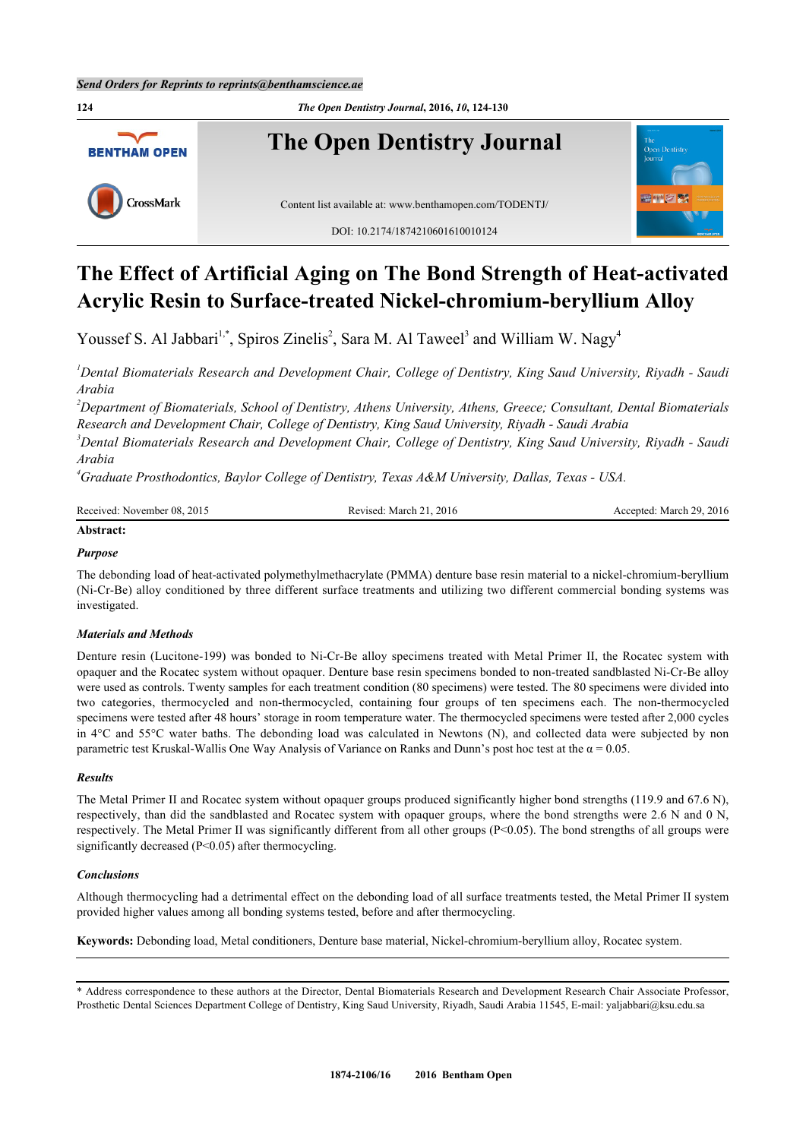

# **The Effect of Artificial Aging on The Bond Strength of Heat-activated Acrylic Resin to Surface-treated Nickel-chromium-beryllium Alloy**

Youssef S. Al Jabbari<sup>[1,](#page-0-0)[\\*](#page-0-1)</sup>, Spiros Zinelis<sup>[2](#page-0-2)</sup>, Sara M. Al Taweel<sup>[3](#page-0-3)</sup> and William W. Nagy<sup>[4](#page-0-4)</sup>

<span id="page-0-0"></span>*<sup>1</sup>Dental Biomaterials Research and Development Chair, College of Dentistry, King Saud University, Riyadh - Saudi Arabia*

<span id="page-0-2"></span>*<sup>2</sup>Department of Biomaterials, School of Dentistry, Athens University, Athens, Greece; Consultant, Dental Biomaterials Research and Development Chair, College of Dentistry, King Saud University, Riyadh - Saudi Arabia*

<span id="page-0-3"></span>*<sup>3</sup>Dental Biomaterials Research and Development Chair, College of Dentistry, King Saud University, Riyadh - Saudi Arabia*

<span id="page-0-4"></span>*<sup>4</sup>Graduate Prosthodontics, Baylor College of Dentistry, Texas A&M University, Dallas, Texas - USA.*

| Received: November 08, 2015 | Revised: March 21. 2016 | Accepted: March 29, 2016 |
|-----------------------------|-------------------------|--------------------------|
| Abstract:                   |                         |                          |

# *Purpose*

The debonding load of heat-activated polymethylmethacrylate (PMMA) denture base resin material to a nickel-chromium-beryllium (Ni-Cr-Be) alloy conditioned by three different surface treatments and utilizing two different commercial bonding systems was investigated.

#### *Materials and Methods*

Denture resin (Lucitone-199) was bonded to Ni-Cr-Be alloy specimens treated with Metal Primer II, the Rocatec system with opaquer and the Rocatec system without opaquer. Denture base resin specimens bonded to non-treated sandblasted Ni-Cr-Be alloy were used as controls. Twenty samples for each treatment condition (80 specimens) were tested. The 80 specimens were divided into two categories, thermocycled and non-thermocycled, containing four groups of ten specimens each. The non-thermocycled specimens were tested after 48 hours' storage in room temperature water. The thermocycled specimens were tested after 2,000 cycles in 4°C and 55°C water baths. The debonding load was calculated in Newtons (N), and collected data were subjected by non parametric test Kruskal-Wallis One Way Analysis of Variance on Ranks and Dunn's post hoc test at the  $\alpha$  = 0.05.

#### *Results*

The Metal Primer II and Rocatec system without opaquer groups produced significantly higher bond strengths (119.9 and 67.6 N), respectively, than did the sandblasted and Rocatec system with opaquer groups, where the bond strengths were 2.6 N and 0 N, respectively. The Metal Primer II was significantly different from all other groups (P<0.05). The bond strengths of all groups were significantly decreased (P<0.05) after thermocycling.

#### *Conclusions*

Although thermocycling had a detrimental effect on the debonding load of all surface treatments tested, the Metal Primer II system provided higher values among all bonding systems tested, before and after thermocycling.

**Keywords:** Debonding load, Metal conditioners, Denture base material, Nickel-chromium-beryllium alloy, Rocatec system.

<span id="page-0-1"></span>\* Address correspondence to these authors at the Director, Dental Biomaterials Research and Development Research Chair Associate Professor, Prosthetic Dental Sciences Department College of Dentistry, King Saud University, Riyadh, Saudi Arabia 11545, E-mail: [yaljabbari@ksu.edu.sa](mailto:yaljabbari@ksu.edu.sa)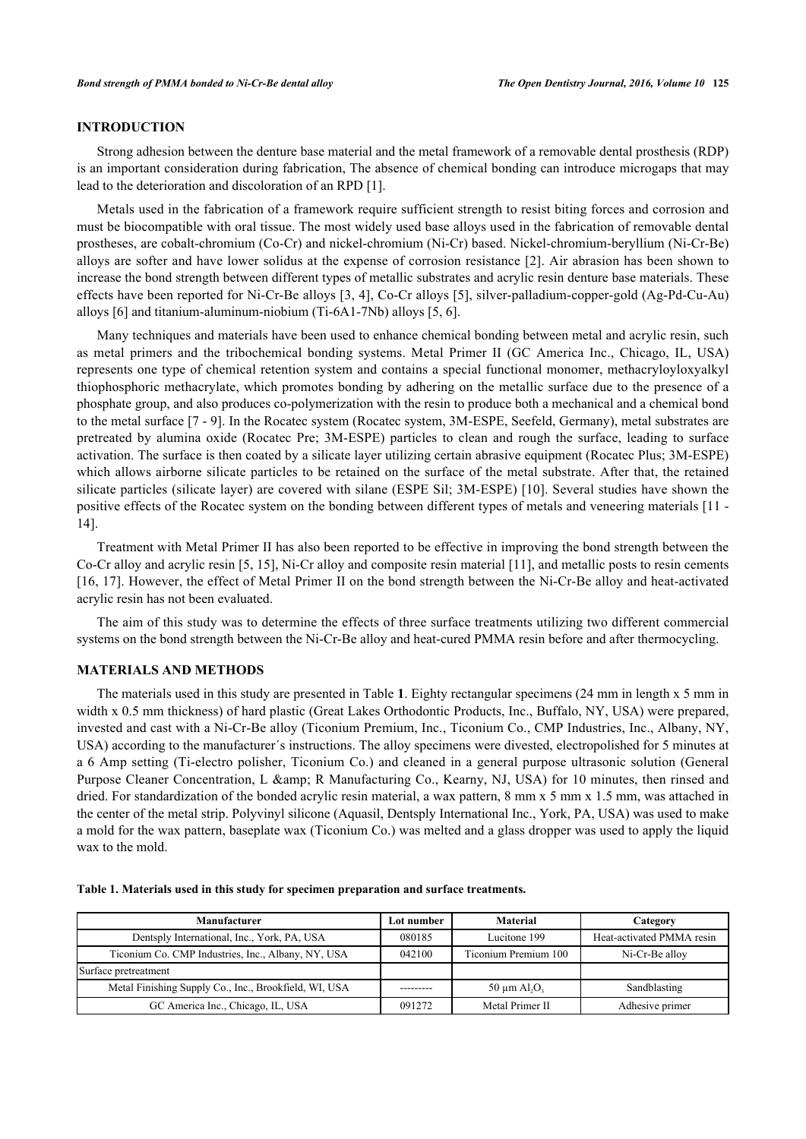### **INTRODUCTION**

Strong adhesion between the denture base material and the metal framework of a removable dental prosthesis (RDP) is an important consideration during fabrication, The absence of chemical bonding can introduce microgaps that may lead to the deterioration and discoloration of an RPD [\[1](#page-5-0)].

Metals used in the fabrication of a framework require sufficient strength to resist biting forces and corrosion and must be biocompatible with oral tissue. The most widely used base alloys used in the fabrication of removable dental prostheses, are cobalt-chromium (Co-Cr) and nickel-chromium (Ni-Cr) based. Nickel-chromium-beryllium (Ni-Cr-Be) alloys are softer and have lower solidus at the expense of corrosion resistance [\[2](#page-5-1)]. Air abrasion has been shown to increase the bond strength between different types of metallic substrates and acrylic resin denture base materials. These effects have been reported for Ni-Cr-Be alloys [[3,](#page-5-2) [4](#page-5-3)], Co-Cr alloys [[5](#page-5-4)], silver-palladium-copper-gold (Ag-Pd-Cu-Au) alloys [\[6](#page-5-5)] and titanium-aluminum-niobium (Ti-6A1-7Nb) alloys [\[5](#page-5-4), [6](#page-5-5)].

Many techniques and materials have been used to enhance chemical bonding between metal and acrylic resin, such as metal primers and the tribochemical bonding systems. Metal Primer II (GC America Inc., Chicago, IL, USA) represents one type of chemical retention system and contains a special functional monomer, methacryloyloxyalkyl thiophosphoric methacrylate, which promotes bonding by adhering on the metallic surface due to the presence of a phosphate group, and also produces co-polymerization with the resin to produce both a mechanical and a chemical bond to the metal surface [[7](#page-5-6) - [9\]](#page-5-7). In the Rocatec system (Rocatec system, 3M-ESPE, Seefeld, Germany), metal substrates are pretreated by alumina oxide (Rocatec Pre; 3M-ESPE) particles to clean and rough the surface, leading to surface activation. The surface is then coated by a silicate layer utilizing certain abrasive equipment (Rocatec Plus; 3M-ESPE) which allows airborne silicate particles to be retained on the surface of the metal substrate. After that, the retained silicate particles (silicate layer) are covered with silane (ESPE Sil; 3M-ESPE) [[10](#page-5-8)]. Several studies have shown the positive effects of the Rocatec system on the bonding between different types of metals and veneering materials [\[11](#page-5-9) - [14\]](#page-5-10).

Treatment with Metal Primer II has also been reported to be effective in improving the bond strength between the Co-Cr alloy and acrylic resin [[5,](#page-5-4) [15\]](#page-6-0), Ni-Cr alloy and composite resin material [\[11](#page-5-9)], and metallic posts to resin cements [\[16](#page-6-1), [17](#page-6-2)]. However, the effect of Metal Primer II on the bond strength between the Ni-Cr-Be alloy and heat-activated acrylic resin has not been evaluated.

The aim of this study was to determine the effects of three surface treatments utilizing two different commercial systems on the bond strength between the Ni-Cr-Be alloy and heat-cured PMMA resin before and after thermocycling.

#### **MATERIALS AND METHODS**

The materials used in this study are presented in Table **[1](#page-1-0)**. Eighty rectangular specimens (24 mm in length x 5 mm in width x 0.5 mm thickness) of hard plastic (Great Lakes Orthodontic Products, Inc., Buffalo, NY, USA) were prepared, invested and cast with a Ni-Cr-Be alloy (Ticonium Premium, Inc., Ticonium Co., CMP Industries, Inc., Albany, NY, USA) according to the manufacturer´s instructions. The alloy specimens were divested, electropolished for 5 minutes at a 6 Amp setting (Ti-electro polisher, Ticonium Co.) and cleaned in a general purpose ultrasonic solution (General Purpose Cleaner Concentration, L & amp; R Manufacturing Co., Kearny, NJ, USA) for 10 minutes, then rinsed and dried. For standardization of the bonded acrylic resin material, a wax pattern, 8 mm x 5 mm x 1.5 mm, was attached in the center of the metal strip. Polyvinyl silicone (Aquasil, Dentsply International Inc., York, PA, USA) was used to make a mold for the wax pattern, baseplate wax (Ticonium Co.) was melted and a glass dropper was used to apply the liquid wax to the mold.

| Manufacturer                                          | Lot number | <b>Material</b>               | Category                  |
|-------------------------------------------------------|------------|-------------------------------|---------------------------|
| Dentsply International, Inc., York, PA, USA           | 080185     | Lucitone 199                  | Heat-activated PMMA resin |
| Ticonium Co. CMP Industries, Inc., Albany, NY, USA    | 042100     | Ticonium Premium 100          | Ni-Cr-Be alloy            |
| Surface pretreatment                                  |            |                               |                           |
| Metal Finishing Supply Co., Inc., Brookfield, WI, USA |            | 50 $\mu$ m Al, O <sub>3</sub> | Sandblasting              |
| GC America Inc., Chicago, IL, USA                     | 091272     | Metal Primer II               | Adhesive primer           |

<span id="page-1-0"></span>**Table 1. Materials used in this study for specimen preparation and surface treatments.**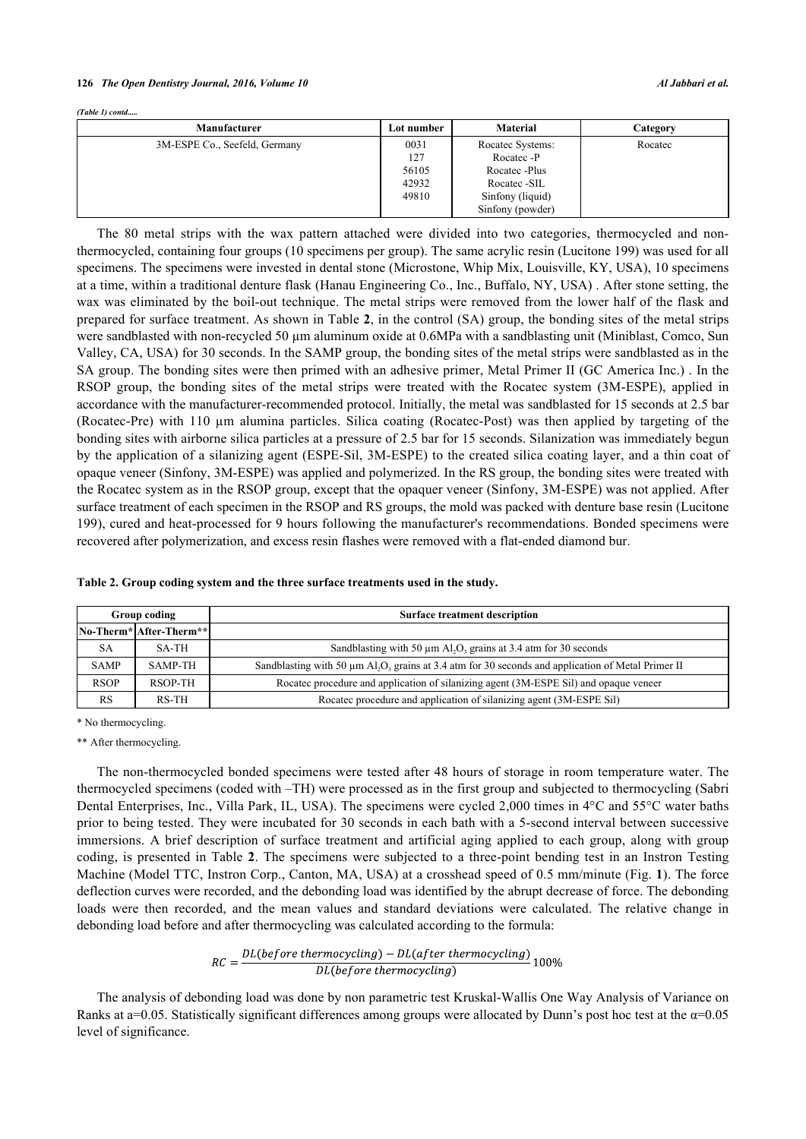*(Table 1) contd.....*

| Manufacturer                  | Lot number | <b>Material</b>  | Category |
|-------------------------------|------------|------------------|----------|
| 3M-ESPE Co., Seefeld, Germany | 0031       | Rocatec Systems: | Rocatec  |
|                               | 127        | Rocatec -P       |          |
|                               | 56105      | Rocatec -Plus    |          |
|                               | 42932      | Rocatec -SIL     |          |
|                               | 49810      | Sinfony (liquid) |          |
|                               |            | Sinfony (powder) |          |

The 80 metal strips with the wax pattern attached were divided into two categories, thermocycled and nonthermocycled, containing four groups (10 specimens per group). The same acrylic resin (Lucitone 199) was used for all specimens. The specimens were invested in dental stone (Microstone, Whip Mix, Louisville, KY, USA), 10 specimens at a time, within a traditional denture flask (Hanau Engineering Co., Inc., Buffalo, NY, USA) . After stone setting, the wax was eliminated by the boil-out technique. The metal strips were removed from the lower half of the flask and prepared for surface treatment. As shown in Table **[2](#page-2-0)**, in the control (SA) group, the bonding sites of the metal strips were sandblasted with non-recycled 50 µm aluminum oxide at 0.6MPa with a sandblasting unit (Miniblast, Comco, Sun Valley, CA, USA) for 30 seconds. In the SAMP group, the bonding sites of the metal strips were sandblasted as in the SA group. The bonding sites were then primed with an adhesive primer, Metal Primer II (GC America Inc.) . In the RSOP group, the bonding sites of the metal strips were treated with the Rocatec system (3M-ESPE), applied in accordance with the manufacturer-recommended protocol. Initially, the metal was sandblasted for 15 seconds at 2.5 bar (Rocatec-Pre) with 110 µm alumina particles. Silica coating (Rocatec-Post) was then applied by targeting of the bonding sites with airborne silica particles at a pressure of 2.5 bar for 15 seconds. Silanization was immediately begun by the application of a silanizing agent (ESPE-Sil, 3M-ESPE) to the created silica coating layer, and a thin coat of opaque veneer (Sinfony, 3M-ESPE) was applied and polymerized. In the RS group, the bonding sites were treated with the Rocatec system as in the RSOP group, except that the opaquer veneer (Sinfony, 3M-ESPE) was not applied. After surface treatment of each specimen in the RSOP and RS groups, the mold was packed with denture base resin (Lucitone 199), cured and heat-processed for 9 hours following the manufacturer's recommendations. Bonded specimens were recovered after polymerization, and excess resin flashes were removed with a flat-ended diamond bur.

| Group coding |                         | <b>Surface treatment description</b>                                                                                            |  |
|--------------|-------------------------|---------------------------------------------------------------------------------------------------------------------------------|--|
|              | No-Therm* After-Therm** |                                                                                                                                 |  |
| SА           | SA-TH                   | Sandblasting with 50 $\mu$ m Al <sub>2</sub> O <sub>3</sub> grains at 3.4 atm for 30 seconds                                    |  |
| <b>SAMP</b>  | <b>SAMP-TH</b>          | Sandblasting with 50 $\mu$ m Al <sub>2</sub> O <sub>3</sub> grains at 3.4 atm for 30 seconds and application of Metal Primer II |  |
| <b>RSOP</b>  | RSOP-TH                 | Rocatec procedure and application of silanizing agent (3M-ESPE Sil) and opaque veneer                                           |  |
| RS           | RS-TH                   | Rocatec procedure and application of silanizing agent (3M-ESPE Sil)                                                             |  |

<span id="page-2-0"></span>**Table 2. Group coding system and the three surface treatments used in the study.**

\* No thermocycling.

\*\* After thermocycling.

The non-thermocycled bonded specimens were tested after 48 hours of storage in room temperature water. The thermocycled specimens (coded with –TH) were processed as in the first group and subjected to thermocycling (Sabri Dental Enterprises, Inc., Villa Park, IL, USA). The specimens were cycled 2,000 times in 4°C and 55°C water baths prior to being tested. They were incubated for 30 seconds in each bath with a 5-second interval between successive immersions. A brief description of surface treatment and artificial aging applied to each group, along with group coding, is presented in Table **[2](#page-2-0)**. The specimens were subjected to a three-point bending test in an Instron Testing Machine (Model TTC, Instron Corp., Canton, MA, USA) at a crosshead speed of 0.5 mm/minute (Fig. **[1](#page-2-1)**). The force deflection curves were recorded, and the debonding load was identified by the abrupt decrease of force. The debonding loads were then recorded, and the mean values and standard deviations were calculated. The relative change in debonding load before and after thermocycling was calculated according to the formula:

$$
RC = \frac{DL(before\ thermocycling) - DL(after\ thermocycling)}{DL(before\ thermocycling)}
$$
100%

<span id="page-2-1"></span>The analysis of debonding load was done by non parametric test Kruskal-Wallis One Way Analysis of Variance on Ranks at a=0.05. Statistically significant differences among groups were allocated by Dunn's post hoc test at the  $\alpha$ =0.05 level of significance.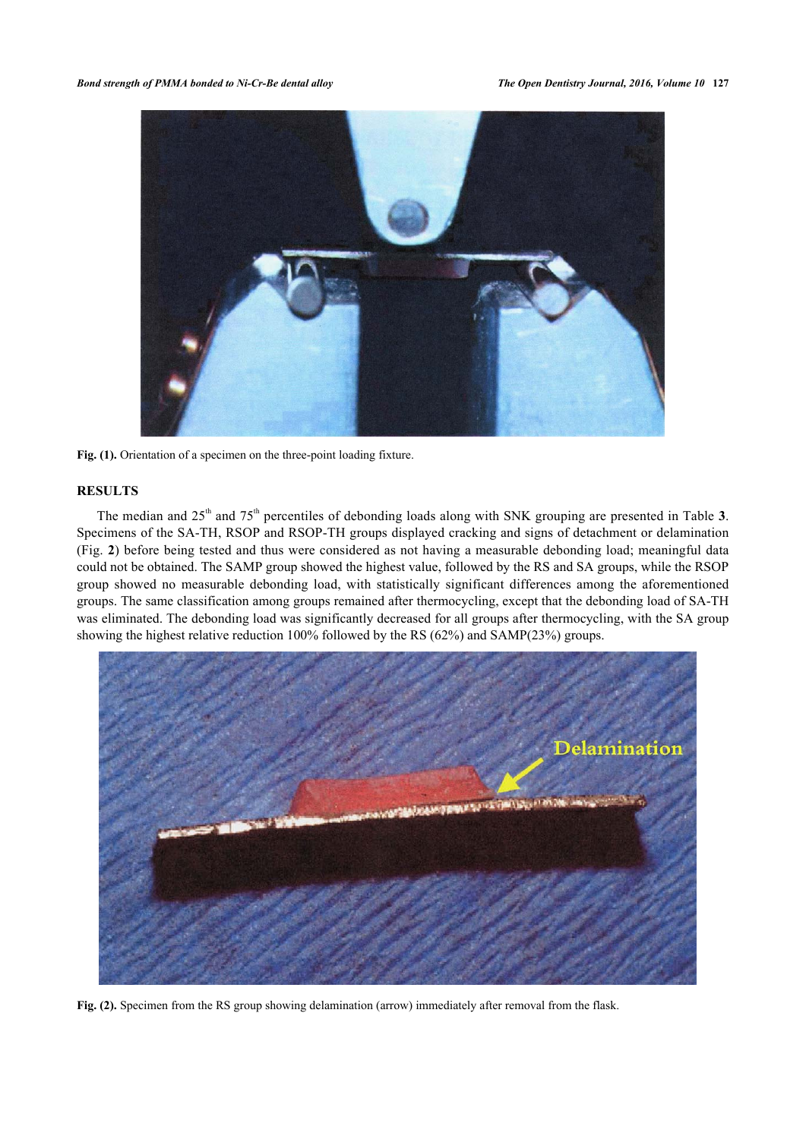

Fig. (1). Orientation of a specimen on the three-point loading fixture.

# **RESULTS**

The median and 25<sup>th</sup> and 75<sup>th</sup> percentiles of debonding loads along with SNK grouping are presented in Table [3](#page-3-0). Specimens of the SA-TH, RSOP and RSOP-TH groups displayed cracking and signs of detachment or delamination (Fig. **[2](#page-3-1)**) before being tested and thus were considered as not having a measurable debonding load; meaningful data could not be obtained. The SAMP group showed the highest value, followed by the RS and SA groups, while the RSOP group showed no measurable debonding load, with statistically significant differences among the aforementioned groups. The same classification among groups remained after thermocycling, except that the debonding load of SA-TH was eliminated. The debonding load was significantly decreased for all groups after thermocycling, with the SA group showing the highest relative reduction 100% followed by the RS (62%) and SAMP(23%) groups.

<span id="page-3-1"></span><span id="page-3-0"></span>

**Fig. (2).** Specimen from the RS group showing delamination (arrow) immediately after removal from the flask.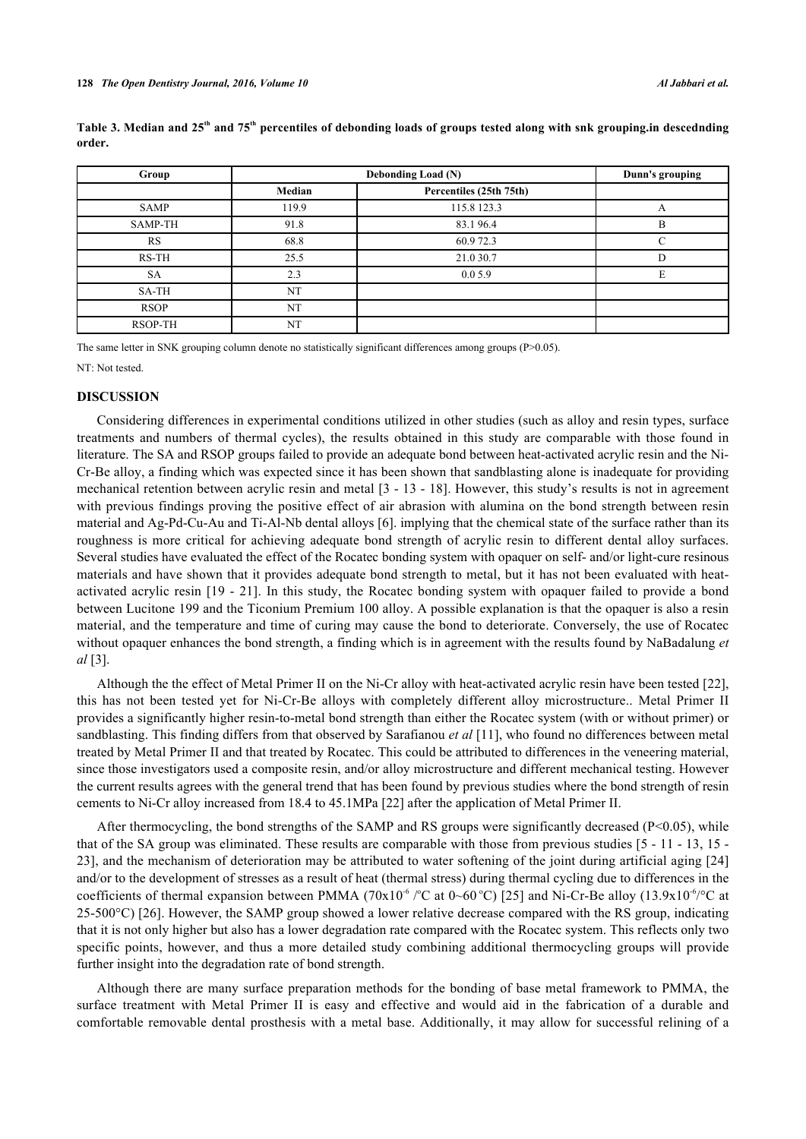| Group       | Debonding Load (N) |                         | Dunn's grouping |
|-------------|--------------------|-------------------------|-----------------|
|             | Median             | Percentiles (25th 75th) |                 |
| SAMP        | 119.9              | 115.8 123.3             |                 |
| SAMP-TH     | 91.8               | 83.196.4                | B               |
| RS          | 68.8               | 60.972.3                | ⌒               |
| RS-TH       | 25.5               | 21.0 30.7               |                 |
| <b>SA</b>   | 2.3                | 0.05.9                  |                 |
| SA-TH       | NT                 |                         |                 |
| <b>RSOP</b> | NT                 |                         |                 |
| RSOP-TH     | NT                 |                         |                 |

**Table 3. Median and 25th and 75th percentiles of debonding loads of groups tested along with snk grouping.in descednding order.**

The same letter in SNK grouping column denote no statistically significant differences among groups (P>0.05).

NT: Not tested.

# **DISCUSSION**

Considering differences in experimental conditions utilized in other studies (such as alloy and resin types, surface treatments and numbers of thermal cycles), the results obtained in this study are comparable with those found in literature. The SA and RSOP groups failed to provide an adequate bond between heat-activated acrylic resin and the Ni-Cr-Be alloy, a finding which was expected since it has been shown that sandblasting alone is inadequate for providing mechanical retention between acrylic resin and metal [[3](#page-5-2) - [13](#page-5-11) - [18](#page-6-3)]. However, this study's results is not in agreement with previous findings proving the positive effect of air abrasion with alumina on the bond strength between resin material and Ag-Pd-Cu-Au and Ti-Al-Nb dental alloys [\[6](#page-5-5)]. implying that the chemical state of the surface rather than its roughness is more critical for achieving adequate bond strength of acrylic resin to different dental alloy surfaces. Several studies have evaluated the effect of the Rocatec bonding system with opaquer on self- and/or light-cure resinous materials and have shown that it provides adequate bond strength to metal, but it has not been evaluated with heatactivated acrylic resin [[19](#page-6-4) - [21](#page-6-5)]. In this study, the Rocatec bonding system with opaquer failed to provide a bond between Lucitone 199 and the Ticonium Premium 100 alloy. A possible explanation is that the opaquer is also a resin material, and the temperature and time of curing may cause the bond to deteriorate. Conversely, the use of Rocatec without opaquer enhances the bond strength, a finding which is in agreement with the results found by NaBadalung *et al* [\[3](#page-5-2)].

Although the the effect of Metal Primer II on the Ni-Cr alloy with heat-activated acrylic resin have been tested [[22\]](#page-6-6), this has not been tested yet for Ni-Cr-Be alloys with completely different alloy microstructure.. Metal Primer II provides a significantly higher resin-to-metal bond strength than either the Rocatec system (with or without primer) or sandblasting. This finding differs from that observed by Sarafianou *et al* [\[11](#page-5-9)], who found no differences between metal treated by Metal Primer II and that treated by Rocatec. This could be attributed to differences in the veneering material, since those investigators used a composite resin, and/or alloy microstructure and different mechanical testing. However the current results agrees with the general trend that has been found by previous studies where the bond strength of resin cements to Ni-Cr alloy increased from 18.4 to 45.1MPa [\[22](#page-6-6)] after the application of Metal Primer II.

After thermocycling, the bond strengths of the SAMP and RS groups were significantly decreased ( $P<0.05$ ), while that of the SA group was eliminated. These results are comparable with those from previous studies [[5](#page-5-4) - [11](#page-5-9) - [13,](#page-5-11) [15](#page-6-0) - [23\]](#page-6-7), and the mechanism of deterioration may be attributed to water softening of the joint during artificial aging [[24](#page-6-8)] and/or to the development of stresses as a result of heat (thermal stress) during thermal cycling due to differences in the coefficients of thermal expansion between PMMA ( $70x10^{-6}$  /°C at 0~60 °C) [[25\]](#page-6-9) and Ni-Cr-Be alloy (13.9x10<sup>-6</sup>/°C at 25-500°C) [[26\]](#page-6-10). However, the SAMP group showed a lower relative decrease compared with the RS group, indicating that it is not only higher but also has a lower degradation rate compared with the Rocatec system. This reflects only two specific points, however, and thus a more detailed study combining additional thermocycling groups will provide further insight into the degradation rate of bond strength.

Although there are many surface preparation methods for the bonding of base metal framework to PMMA, the surface treatment with Metal Primer II is easy and effective and would aid in the fabrication of a durable and comfortable removable dental prosthesis with a metal base. Additionally, it may allow for successful relining of a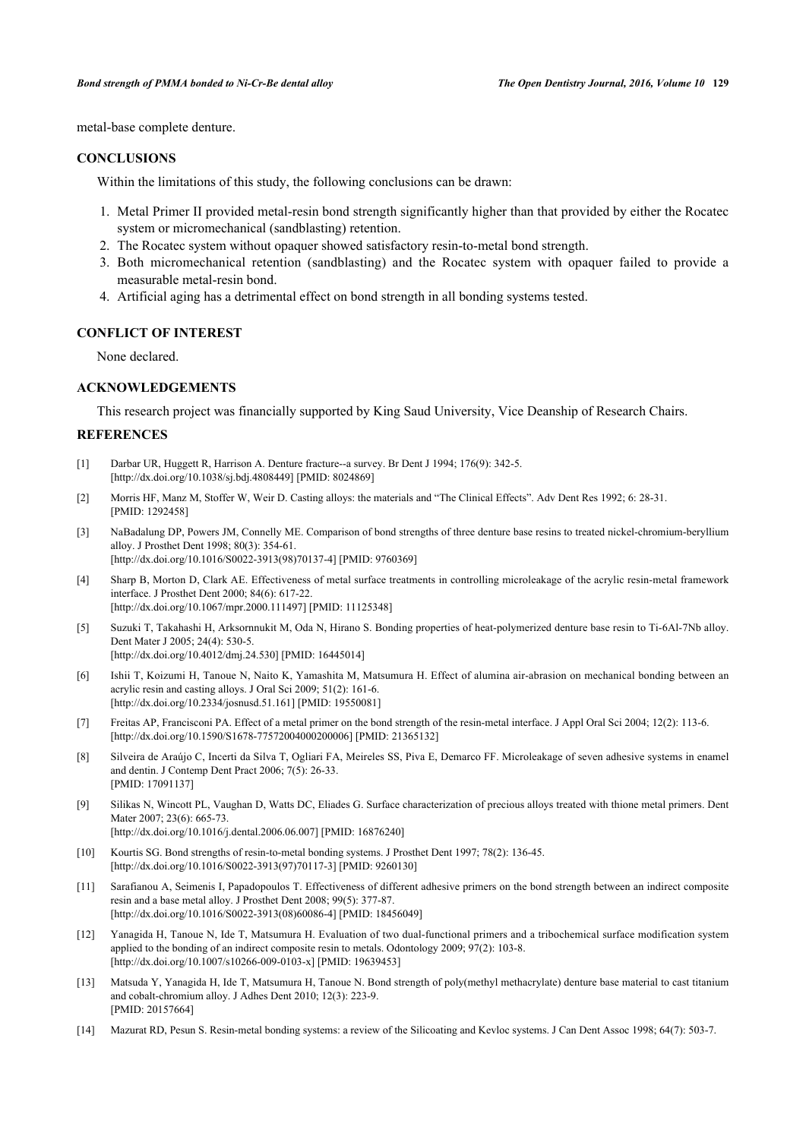metal-base complete denture.

#### **CONCLUSIONS**

Within the limitations of this study, the following conclusions can be drawn:

- 1. Metal Primer II provided metal-resin bond strength significantly higher than that provided by either the Rocatec system or micromechanical (sandblasting) retention.
- 2. The Rocatec system without opaquer showed satisfactory resin-to-metal bond strength.
- 3. Both micromechanical retention (sandblasting) and the Rocatec system with opaquer failed to provide a measurable metal-resin bond.
- 4. Artificial aging has a detrimental effect on bond strength in all bonding systems tested.

#### **CONFLICT OF INTEREST**

None declared.

#### **ACKNOWLEDGEMENTS**

This research project was financially supported by King Saud University, Vice Deanship of Research Chairs.

### **REFERENCES**

- <span id="page-5-0"></span>[1] Darbar UR, Huggett R, Harrison A. Denture fracture--a survey. Br Dent J 1994; 176(9): 342-5. [\[http://dx.doi.org/10.1038/sj.bdj.4808449](http://dx.doi.org/10.1038/sj.bdj.4808449)] [PMID: [8024869\]](http://www.ncbi.nlm.nih.gov/pubmed/8024869)
- <span id="page-5-1"></span>[2] Morris HF, Manz M, Stoffer W, Weir D. Casting alloys: the materials and "The Clinical Effects". Adv Dent Res 1992; 6: 28-31. [PMID: [1292458\]](http://www.ncbi.nlm.nih.gov/pubmed/1292458)
- <span id="page-5-2"></span>[3] NaBadalung DP, Powers JM, Connelly ME. Comparison of bond strengths of three denture base resins to treated nickel-chromium-beryllium alloy. J Prosthet Dent 1998; 80(3): 354-61. [\[http://dx.doi.org/10.1016/S0022-3913\(98\)70137-4\]](http://dx.doi.org/10.1016/S0022-3913(98)70137-4) [PMID: [9760369](http://www.ncbi.nlm.nih.gov/pubmed/9760369)]
- <span id="page-5-3"></span>[4] Sharp B, Morton D, Clark AE. Effectiveness of metal surface treatments in controlling microleakage of the acrylic resin-metal framework interface. J Prosthet Dent 2000; 84(6): 617-22. [\[http://dx.doi.org/10.1067/mpr.2000.111497\]](http://dx.doi.org/10.1067/mpr.2000.111497) [PMID: [11125348](http://www.ncbi.nlm.nih.gov/pubmed/11125348)]
- <span id="page-5-4"></span>[5] Suzuki T, Takahashi H, Arksornnukit M, Oda N, Hirano S. Bonding properties of heat-polymerized denture base resin to Ti-6Al-7Nb alloy. Dent Mater J 2005; 24(4): 530-5. [\[http://dx.doi.org/10.4012/dmj.24.530](http://dx.doi.org/10.4012/dmj.24.530)] [PMID: [16445014\]](http://www.ncbi.nlm.nih.gov/pubmed/16445014)
- <span id="page-5-5"></span>[6] Ishii T, Koizumi H, Tanoue N, Naito K, Yamashita M, Matsumura H. Effect of alumina air-abrasion on mechanical bonding between an acrylic resin and casting alloys. J Oral Sci 2009; 51(2): 161-6. [\[http://dx.doi.org/10.2334/josnusd.51.161](http://dx.doi.org/10.2334/josnusd.51.161)] [PMID: [19550081\]](http://www.ncbi.nlm.nih.gov/pubmed/19550081)
- <span id="page-5-6"></span>[7] Freitas AP, Francisconi PA. Effect of a metal primer on the bond strength of the resin-metal interface. J Appl Oral Sci 2004; 12(2): 113-6. [\[http://dx.doi.org/10.1590/S1678-77572004000200006\]](http://dx.doi.org/10.1590/S1678-77572004000200006) [PMID: [21365132](http://www.ncbi.nlm.nih.gov/pubmed/21365132)]
- [8] Silveira de Araújo C, Incerti da Silva T, Ogliari FA, Meireles SS, Piva E, Demarco FF. Microleakage of seven adhesive systems in enamel and dentin. J Contemp Dent Pract 2006; 7(5): 26-33. [PMID: [17091137\]](http://www.ncbi.nlm.nih.gov/pubmed/17091137)
- <span id="page-5-7"></span>[9] Silikas N, Wincott PL, Vaughan D, Watts DC, Eliades G. Surface characterization of precious alloys treated with thione metal primers. Dent Mater 2007; 23(6): 665-73. [\[http://dx.doi.org/10.1016/j.dental.2006.06.007\]](http://dx.doi.org/10.1016/j.dental.2006.06.007) [PMID: [16876240](http://www.ncbi.nlm.nih.gov/pubmed/16876240)]
	-
- <span id="page-5-8"></span>[10] Kourtis SG. Bond strengths of resin-to-metal bonding systems. J Prosthet Dent 1997; 78(2): 136-45. [\[http://dx.doi.org/10.1016/S0022-3913\(97\)70117-3\]](http://dx.doi.org/10.1016/S0022-3913(97)70117-3) [PMID: [9260130](http://www.ncbi.nlm.nih.gov/pubmed/9260130)]
- <span id="page-5-9"></span>[11] Sarafianou A, Seimenis I, Papadopoulos T. Effectiveness of different adhesive primers on the bond strength between an indirect composite resin and a base metal alloy. J Prosthet Dent 2008; 99(5): 377-87. [\[http://dx.doi.org/10.1016/S0022-3913\(08\)60086-4\]](http://dx.doi.org/10.1016/S0022-3913(08)60086-4) [PMID: [18456049](http://www.ncbi.nlm.nih.gov/pubmed/18456049)]
- [12] Yanagida H, Tanoue N, Ide T, Matsumura H. Evaluation of two dual-functional primers and a tribochemical surface modification system applied to the bonding of an indirect composite resin to metals. Odontology 2009; 97(2): 103-8. [\[http://dx.doi.org/10.1007/s10266-009-0103-x\]](http://dx.doi.org/10.1007/s10266-009-0103-x) [PMID: [19639453](http://www.ncbi.nlm.nih.gov/pubmed/19639453)]
- <span id="page-5-11"></span>[13] Matsuda Y, Yanagida H, Ide T, Matsumura H, Tanoue N. Bond strength of poly(methyl methacrylate) denture base material to cast titanium and cobalt-chromium alloy. J Adhes Dent 2010; 12(3): 223-9. [PMID: [20157664\]](http://www.ncbi.nlm.nih.gov/pubmed/20157664)
- <span id="page-5-10"></span>[14] Mazurat RD, Pesun S. Resin-metal bonding systems: a review of the Silicoating and Kevloc systems. J Can Dent Assoc 1998; 64(7): 503-7.